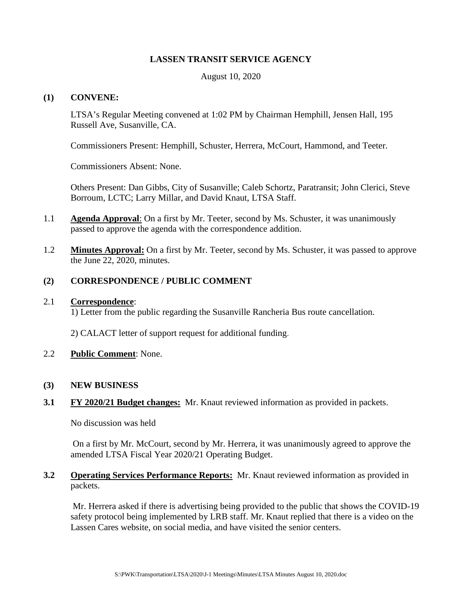## **LASSEN TRANSIT SERVICE AGENCY**

August 10, 2020

## **(1) CONVENE:**

LTSA's Regular Meeting convened at 1:02 PM by Chairman Hemphill, Jensen Hall, 195 Russell Ave, Susanville, CA.

Commissioners Present: Hemphill, Schuster, Herrera, McCourt, Hammond, and Teeter.

Commissioners Absent: None.

Others Present: Dan Gibbs, City of Susanville; Caleb Schortz, Paratransit; John Clerici, Steve Borroum, LCTC; Larry Millar, and David Knaut, LTSA Staff.

- 1.1 **Agenda Approval**: On a first by Mr. Teeter, second by Ms. Schuster, it was unanimously passed to approve the agenda with the correspondence addition.
- 1.2 **Minutes Approval:** On a first by Mr. Teeter, second by Ms. Schuster, it was passed to approve the June 22, 2020, minutes.

# **(2) CORRESPONDENCE / PUBLIC COMMENT**

#### 2.1 **Correspondence**:

1) Letter from the public regarding the Susanville Rancheria Bus route cancellation.

2) CALACT letter of support request for additional funding.

2.2 **Public Comment**: None.

#### **(3) NEW BUSINESS**

**3.1 FY 2020/21 Budget changes:** Mr. Knaut reviewed information as provided in packets.

No discussion was held

On a first by Mr. McCourt, second by Mr. Herrera, it was unanimously agreed to approve the amended LTSA Fiscal Year 2020/21 Operating Budget.

# **3.2 Operating Services Performance Reports:** Mr. Knaut reviewed information as provided in packets.

Mr. Herrera asked if there is advertising being provided to the public that shows the COVID-19 safety protocol being implemented by LRB staff. Mr. Knaut replied that there is a video on the Lassen Cares website, on social media, and have visited the senior centers.